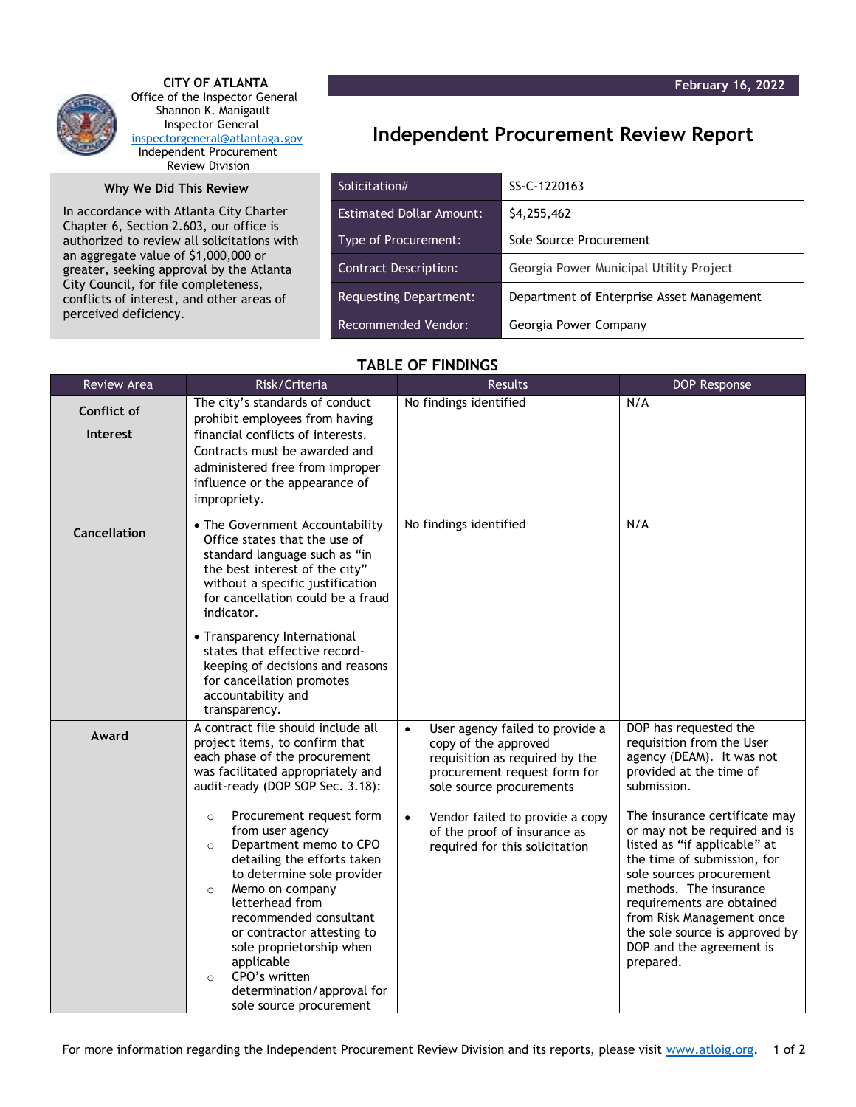**February 16, 2022**



 **CITY OF ATLANTA** Office of the Inspector General Shannon K. Manigault Inspector General [inspectorgeneral@atlantaga.gov](mailto:inspectorgeneral@atlantaga.gov) Independent Procurement Review Division

## **Why We Did This Review**

In accordance with Atlanta City Charter Chapter 6, Section 2.603, our office is authorized to review all solicitations with an aggregate value of \$1,000,000 or greater, seeking approval by the Atlanta City Council, for file completeness, conflicts of interest, and other areas of perceived deficiency.

## **Independent Procurement Review Report**

| Solicitation#                   | SS-C-1220163                              |  |
|---------------------------------|-------------------------------------------|--|
| <b>Estimated Dollar Amount:</b> | \$4,255,462                               |  |
| Type of Procurement:            | Sole Source Procurement                   |  |
| <b>Contract Description:</b>    | Georgia Power Municipal Utility Project   |  |
| Requesting Department:          | Department of Enterprise Asset Management |  |
| Recommended Vendor:             | Georgia Power Company                     |  |

## **TABLE OF FINDINGS**

| Review Area                    | Risk/Criteria                                                                                                                                                                                                                                                                                                                                                                                                                                                                                                                                                                       | <b>Results</b>                                                                                                                                                                                                                                                                       | <b>DOP Response</b>                                                                                                                                                                                                                                                                                                                                                                                                                                   |
|--------------------------------|-------------------------------------------------------------------------------------------------------------------------------------------------------------------------------------------------------------------------------------------------------------------------------------------------------------------------------------------------------------------------------------------------------------------------------------------------------------------------------------------------------------------------------------------------------------------------------------|--------------------------------------------------------------------------------------------------------------------------------------------------------------------------------------------------------------------------------------------------------------------------------------|-------------------------------------------------------------------------------------------------------------------------------------------------------------------------------------------------------------------------------------------------------------------------------------------------------------------------------------------------------------------------------------------------------------------------------------------------------|
| Conflict of<br><b>Interest</b> | The city's standards of conduct<br>prohibit employees from having<br>financial conflicts of interests.<br>Contracts must be awarded and<br>administered free from improper<br>influence or the appearance of<br>impropriety.                                                                                                                                                                                                                                                                                                                                                        | No findings identified                                                                                                                                                                                                                                                               | N/A                                                                                                                                                                                                                                                                                                                                                                                                                                                   |
| Cancellation                   | • The Government Accountability<br>Office states that the use of<br>standard language such as "in<br>the best interest of the city"<br>without a specific justification<br>for cancellation could be a fraud<br>indicator.<br>• Transparency International<br>states that effective record-<br>keeping of decisions and reasons<br>for cancellation promotes<br>accountability and<br>transparency.                                                                                                                                                                                 | No findings identified                                                                                                                                                                                                                                                               | N/A                                                                                                                                                                                                                                                                                                                                                                                                                                                   |
| Award                          | A contract file should include all<br>project items, to confirm that<br>each phase of the procurement<br>was facilitated appropriately and<br>audit-ready (DOP SOP Sec. 3.18):<br>Procurement request form<br>$\circ$<br>from user agency<br>Department memo to CPO<br>$\circ$<br>detailing the efforts taken<br>to determine sole provider<br>Memo on company<br>$\circ$<br>letterhead from<br>recommended consultant<br>or contractor attesting to<br>sole proprietorship when<br>applicable<br>CPO's written<br>$\circ$<br>determination/approval for<br>sole source procurement | User agency failed to provide a<br>$\bullet$<br>copy of the approved<br>requisition as required by the<br>procurement request form for<br>sole source procurements<br>Vendor failed to provide a copy<br>$\bullet$<br>of the proof of insurance as<br>required for this solicitation | DOP has requested the<br>requisition from the User<br>agency (DEAM). It was not<br>provided at the time of<br>submission.<br>The insurance certificate may<br>or may not be required and is<br>listed as "if applicable" at<br>the time of submission, for<br>sole sources procurement<br>methods. The insurance<br>requirements are obtained<br>from Risk Management once<br>the sole source is approved by<br>DOP and the agreement is<br>prepared. |